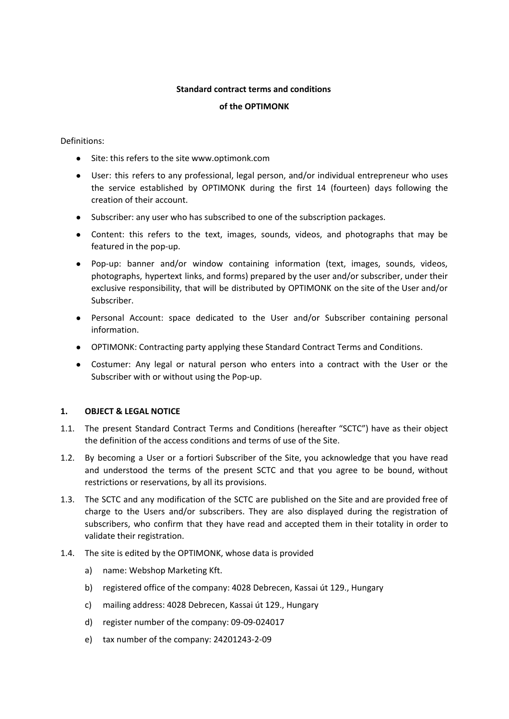#### **Standard contract terms and conditions**

#### **of the OPTIMONK**

### Definitions:

- Site: this refers to the site www.optimonk.com
- User: this refers to any professional, legal person, and/or individual entrepreneur who uses the service established by OPTIMONK during the first 14 (fourteen) days following the creation of their account.
- Subscriber: any user who has subscribed to one of the subscription packages.
- Content: this refers to the text, images, sounds, videos, and photographs that may be featured in the pop-up.
- Pop-up: banner and/or window containing information (text, images, sounds, videos, photographs, hypertext links, and forms) prepared by the user and/or subscriber, under their exclusive responsibility, that will be distributed by OPTIMONK on the site of the User and/or Subscriber.
- Personal Account: space dedicated to the User and/or Subscriber containing personal information.
- OPTIMONK: Contracting party applying these Standard Contract Terms and Conditions.
- Costumer: Any legal or natural person who enters into a contract with the User or the Subscriber with or without using the Pop-up.

### **1. OBJECT & LEGAL NOTICE**

- 1.1. The present Standard Contract Terms and Conditions (hereafter "SCTC") have as their object the definition of the access conditions and terms of use of the Site.
- 1.2. By becoming a User or a fortiori Subscriber of the Site, you acknowledge that you have read and understood the terms of the present SCTC and that you agree to be bound, without restrictions or reservations, by all its provisions.
- 1.3. The SCTC and any modification of the SCTC are published on the Site and are provided free of charge to the Users and/or subscribers. They are also displayed during the registration of subscribers, who confirm that they have read and accepted them in their totality in order to validate their registration.
- 1.4. The site is edited by the OPTIMONK, whose data is provided
	- a) name: Webshop Marketing Kft.
	- b) registered office of the company: 4028 Debrecen, Kassai út 129., Hungary
	- c) mailing address: 4028 Debrecen, Kassai út 129., Hungary
	- d) register number of the company: 09-09-024017
	- e) tax number of the company: 24201243-2-09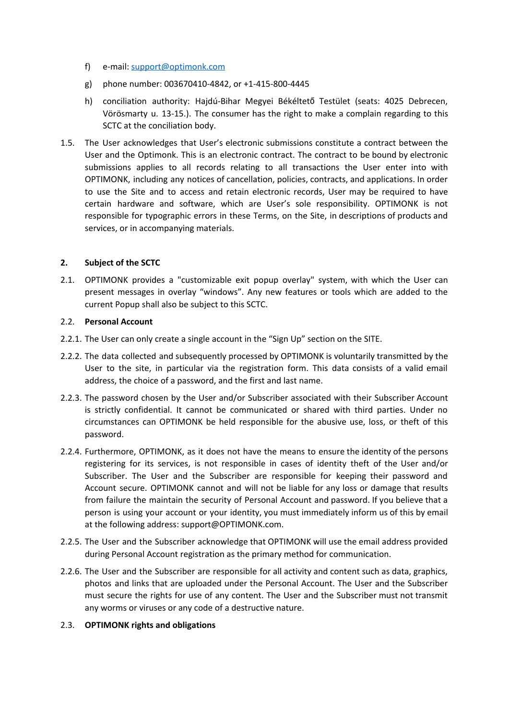- f) e-mail: [support@optimonk.com](mailto:support@optimonk.com)
- g) phone number: 003670410-4842, or +1-415-800-4445
- h) conciliation authority: Hajdú-Bihar Megyei Békéltető Testület (seats: 4025 Debrecen, Vörösmarty u. 13-15.). The consumer has the right to make a complain regarding to this SCTC at the conciliation body.
- 1.5. The User acknowledges that User's electronic submissions constitute a contract between the User and the Optimonk. This is an electronic contract. The contract to be bound by electronic submissions applies to all records relating to all transactions the User enter into with OPTIMONK, including any notices of cancellation, policies, contracts, and applications. In order to use the Site and to access and retain electronic records, User may be required to have certain hardware and software, which are User's sole responsibility. OPTIMONK is not responsible for typographic errors in these Terms, on the Site, in descriptions of products and services, or in accompanying materials.

## **2. Subject of the SCTC**

2.1. OPTIMONK provides a "customizable exit popup overlay" system, with which the User can present messages in overlay "windows". Any new features or tools which are added to the current Popup shall also be subject to this SCTC.

## 2.2. **Personal Account**

- 2.2.1. The User can only create a single account in the "Sign Up" section on the SITE.
- 2.2.2. The data collected and subsequently processed by OPTIMONK is voluntarily transmitted by the User to the site, in particular via the registration form. This data consists of a valid email address, the choice of a password, and the first and last name.
- 2.2.3. The password chosen by the User and/or Subscriber associated with their Subscriber Account is strictly confidential. It cannot be communicated or shared with third parties. Under no circumstances can OPTIMONK be held responsible for the abusive use, loss, or theft of this password.
- 2.2.4. Furthermore, OPTIMONK, as it does not have the means to ensure the identity of the persons registering for its services, is not responsible in cases of identity theft of the User and/or Subscriber. The User and the Subscriber are responsible for keeping their password and Account secure. OPTIMONK cannot and will not be liable for any loss or damage that results from failure the maintain the security of Personal Account and password. If you believe that a person is using your account or your identity, you must immediately inform us of this by email at the following address: support@OPTIMONK.com.
- 2.2.5. The User and the Subscriber acknowledge that OPTIMONK will use the email address provided during Personal Account registration as the primary method for communication.
- 2.2.6. The User and the Subscriber are responsible for all activity and content such as data, graphics, photos and links that are uploaded under the Personal Account. The User and the Subscriber must secure the rights for use of any content. The User and the Subscriber must not transmit any worms or viruses or any code of a destructive nature.

### 2.3. **OPTIMONK rights and obligations**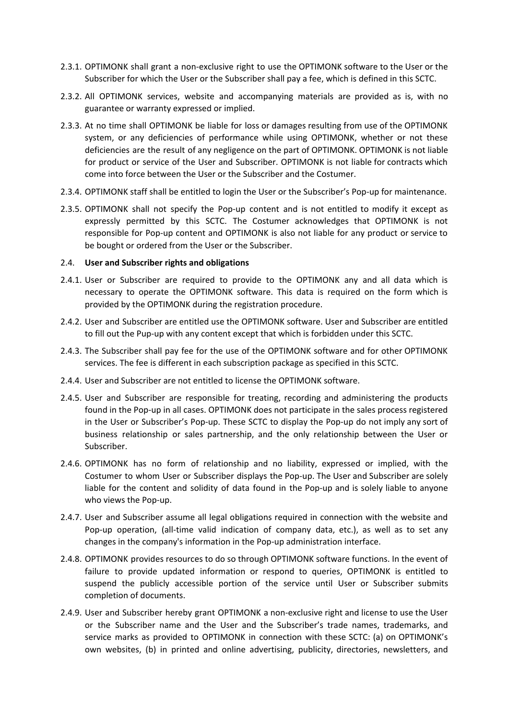- 2.3.1. OPTIMONK shall grant a non-exclusive right to use the OPTIMONK software to the User or the Subscriber for which the User or the Subscriber shall pay a fee, which is defined in this SCTC.
- 2.3.2. All OPTIMONK services, website and accompanying materials are provided as is, with no guarantee or warranty expressed or implied.
- 2.3.3. At no time shall OPTIMONK be liable for loss or damages resulting from use of the OPTIMONK system, or any deficiencies of performance while using OPTIMONK, whether or not these deficiencies are the result of any negligence on the part of OPTIMONK. OPTIMONK is not liable for product or service of the User and Subscriber. OPTIMONK is not liable for contracts which come into force between the User or the Subscriber and the Costumer.
- 2.3.4. OPTIMONK staff shall be entitled to login the User or the Subscriber's Pop-up for maintenance.
- 2.3.5. OPTIMONK shall not specify the Pop-up content and is not entitled to modify it except as expressly permitted by this SCTC. The Costumer acknowledges that OPTIMONK is not responsible for Pop-up content and OPTIMONK is also not liable for any product or service to be bought or ordered from the User or the Subscriber.

#### 2.4. **User and Subscriber rights and obligations**

- 2.4.1. User or Subscriber are required to provide to the OPTIMONK any and all data which is necessary to operate the OPTIMONK software. This data is required on the form which is provided by the OPTIMONK during the registration procedure.
- 2.4.2. User and Subscriber are entitled use the OPTIMONK software. User and Subscriber are entitled to fill out the Pup-up with any content except that which is forbidden under this SCTC.
- 2.4.3. The Subscriber shall pay fee for the use of the OPTIMONK software and for other OPTIMONK services. The fee is different in each subscription package as specified in this SCTC.
- 2.4.4. User and Subscriber are not entitled to license the OPTIMONK software.
- 2.4.5. User and Subscriber are responsible for treating, recording and administering the products found in the Pop-up in all cases. OPTIMONK does not participate in the sales process registered in the User or Subscriber's Pop-up. These SCTC to display the Pop-up do not imply any sort of business relationship or sales partnership, and the only relationship between the User or Subscriber.
- 2.4.6. OPTIMONK has no form of relationship and no liability, expressed or implied, with the Costumer to whom User or Subscriber displays the Pop-up. The User and Subscriber are solely liable for the content and solidity of data found in the Pop-up and is solely liable to anyone who views the Pop-up.
- 2.4.7. User and Subscriber assume all legal obligations required in connection with the website and Pop-up operation, (all-time valid indication of company data, etc.), as well as to set any changes in the company's information in the Pop-up administration interface.
- 2.4.8. OPTIMONK provides resources to do so through OPTIMONK software functions. In the event of failure to provide updated information or respond to queries, OPTIMONK is entitled to suspend the publicly accessible portion of the service until User or Subscriber submits completion of documents.
- 2.4.9. User and Subscriber hereby grant OPTIMONK a non-exclusive right and license to use the User or the Subscriber name and the User and the Subscriber's trade names, trademarks, and service marks as provided to OPTIMONK in connection with these SCTC: (a) on OPTIMONK's own websites, (b) in printed and online advertising, publicity, directories, newsletters, and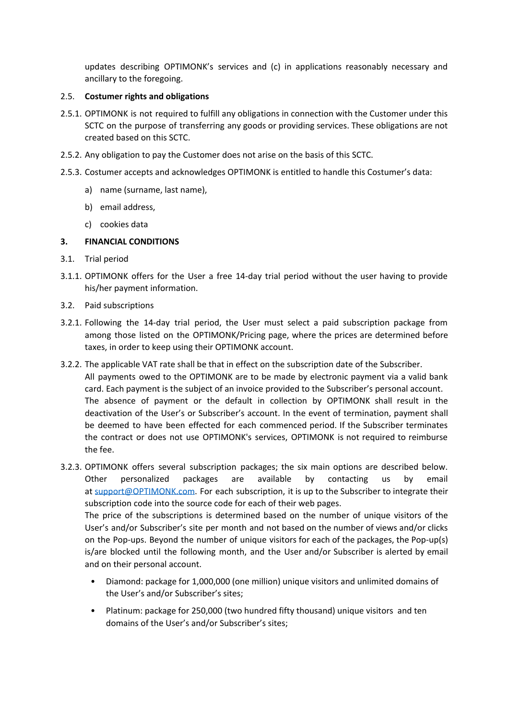updates describing OPTIMONK's services and (c) in applications reasonably necessary and ancillary to the foregoing.

# 2.5. **Costumer rights and obligations**

- 2.5.1. OPTIMONK is not required to fulfill any obligations in connection with the Customer under this SCTC on the purpose of transferring any goods or providing services. These obligations are not created based on this SCTC.
- 2.5.2. Any obligation to pay the Customer does not arise on the basis of this SCTC.
- 2.5.3. Costumer accepts and acknowledges OPTIMONK is entitled to handle this Costumer's data:
	- a) name (surname, last name),
	- b) email address,
	- c) cookies data

## **3. FINANCIAL CONDITIONS**

- 3.1. Trial period
- 3.1.1. OPTIMONK offers for the User a free 14-day trial period without the user having to provide his/her payment information.
- 3.2. Paid subscriptions
- 3.2.1. Following the 14-day trial period, the User must select a paid subscription package from among those listed on the OPTIMONK/Pricing page, where the prices are determined before taxes, in order to keep using their OPTIMONK account.
- 3.2.2. The applicable VAT rate shall be that in effect on the subscription date of the Subscriber. All payments owed to the OPTIMONK are to be made by electronic payment via a valid bank card. Each payment is the subject of an invoice provided to the Subscriber's personal account. The absence of payment or the default in collection by OPTIMONK shall result in the deactivation of the User's or Subscriber's account. In the event of termination, payment shall be deemed to have been effected for each commenced period. If the Subscriber terminates the contract or does not use OPTIMONK's services, OPTIMONK is not required to reimburse the fee.
- 3.2.3. OPTIMONK offers several subscription packages; the six main options are described below. Other personalized packages are available by contacting us by email at [support@OPTIMONK.com](mailto:support@OPTIMONK.com). For each subscription, it is up to the Subscriber to integrate their subscription code into the source code for each of their web pages.

The price of the subscriptions is determined based on the number of unique visitors of the User's and/or Subscriber's site per month and not based on the number of views and/or clicks on the Pop-ups. Beyond the number of unique visitors for each of the packages, the Pop-up(s) is/are blocked until the following month, and the User and/or Subscriber is alerted by email and on their personal account.

- Diamond: package for 1,000,000 (one million) unique visitors and unlimited domains of the User's and/or Subscriber's sites;
- Platinum: package for 250,000 (two hundred fifty thousand) unique visitors and ten domains of the User's and/or Subscriber's sites;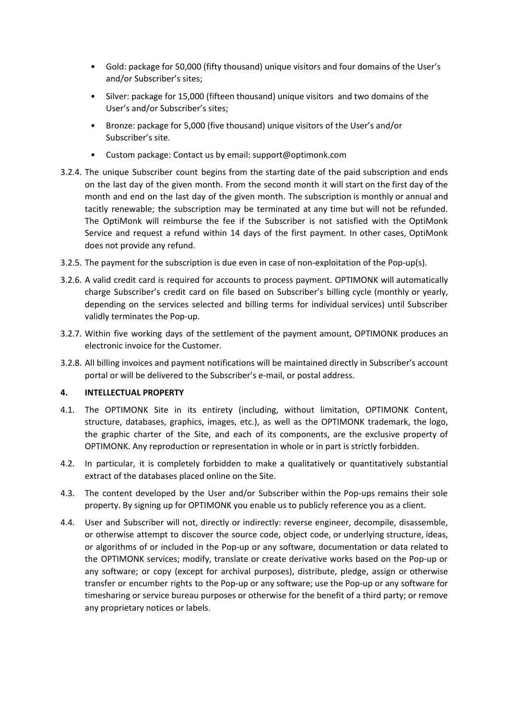- Gold: package for 50,000 (fifty thousand) unique visitors and four domains of the User's and/or Subscriber's sites;
- Silver: package for 15,000 (fifteen thousand) unique visitors and two domains of the User's and/or Subscriber's sites;
- Bronze: package for 5,000 (five thousand) unique visitors of the User's and/or Subscriber's site.
- Custom package: Contact us by email: support@optimonk.com
- 3.2.4. The unique Subscriber count begins from the starting date of the paid subscription and ends on the last day of the given month. From the second month it will start on the first day of the month and end on the last day of the given month. The subscription is monthly or annual and tacitly renewable; the subscription may be terminated at any time but will not be refunded. The OptiMonk will reimburse the fee if the Subscriber is not satisfied with the OptiMonk Service and request a refund within 14 days of the first payment. In other cases, OptiMonk does not provide any refund.
- 3.2.5. The payment for the subscription is due even in case of non-exploitation of the Pop-up(s).
- 3.2.6. A valid credit card is required for accounts to process payment. OPTIMONK will automatically charge Subscriber's credit card on file based on Subscriber's billing cycle (monthly or yearly, depending on the services selected and billing terms for individual services) until Subscriber validly terminates the Pop-up.
- 3.2.7. Within five working days of the settlement of the payment amount, OPTIMONK produces an electronic invoice for the Customer.
- 3.2.8. All billing invoices and payment notifications will be maintained directly in Subscriber's account portal or will be delivered to the Subscriber's e-mail, or postal address.

### **4. INTELLECTUAL PROPERTY**

- 4.1. The OPTIMONK Site in its entirety (including, without limitation, OPTIMONK Content, structure, databases, graphics, images, etc.), as well as the OPTIMONK trademark, the logo, the graphic charter of the Site, and each of its components, are the exclusive property of OPTIMONK. Any reproduction or representation in whole or in part is strictly forbidden.
- 4.2. In particular, it is completely forbidden to make a qualitatively or quantitatively substantial extract of the databases placed online on the Site.
- 4.3. The content developed by the User and/or Subscriber within the Pop-ups remains their sole property. By signing up for OPTIMONK you enable us to publicly reference you as a client.
- 4.4. User and Subscriber will not, directly or indirectly: reverse engineer, decompile, disassemble, or otherwise attempt to discover the source code, object code, or underlying structure, ideas, or algorithms of or included in the Pop-up or any software, documentation or data related to the OPTIMONK services; modify, translate or create derivative works based on the Pop-up or any software; or copy (except for archival purposes), distribute, pledge, assign or otherwise transfer or encumber rights to the Pop-up or any software; use the Pop-up or any software for timesharing or service bureau purposes or otherwise for the benefit of a third party; or remove any proprietary notices or labels.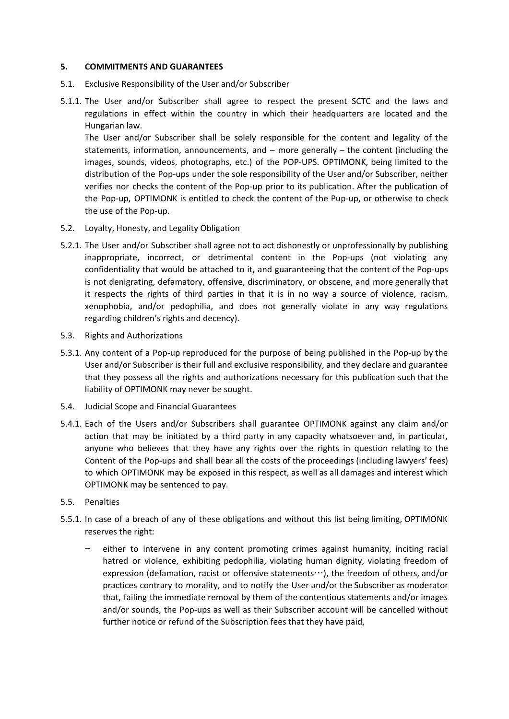### **5. COMMITMENTS AND GUARANTEES**

- 5.1. Exclusive Responsibility of the User and/or Subscriber
- 5.1.1. The User and/or Subscriber shall agree to respect the present SCTC and the laws and regulations in effect within the country in which their headquarters are located and the Hungarian law.

The User and/or Subscriber shall be solely responsible for the content and legality of the statements, information, announcements, and – more generally – the content (including the images, sounds, videos, photographs, etc.) of the POP-UPS. OPTIMONK, being limited to the distribution of the Pop-ups under the sole responsibility of the User and/or Subscriber, neither verifies nor checks the content of the Pop-up prior to its publication. After the publication of the Pop-up, OPTIMONK is entitled to check the content of the Pup-up, or otherwise to check the use of the Pop-up.

- 5.2. Loyalty, Honesty, and Legality Obligation
- 5.2.1. The User and/or Subscriber shall agree not to act dishonestly or unprofessionally by publishing inappropriate, incorrect, or detrimental content in the Pop-ups (not violating any confidentiality that would be attached to it, and guaranteeing that the content of the Pop-ups is not denigrating, defamatory, offensive, discriminatory, or obscene, and more generally that it respects the rights of third parties in that it is in no way a source of violence, racism, xenophobia, and/or pedophilia, and does not generally violate in any way regulations regarding children's rights and decency).
- 5.3. Rights and Authorizations
- 5.3.1. Any content of a Pop-up reproduced for the purpose of being published in the Pop-up by the User and/or Subscriber is their full and exclusive responsibility, and they declare and guarantee that they possess all the rights and authorizations necessary for this publication such that the liability of OPTIMONK may never be sought.
- 5.4. Judicial Scope and Financial Guarantees
- 5.4.1. Each of the Users and/or Subscribers shall guarantee OPTIMONK against any claim and/or action that may be initiated by a third party in any capacity whatsoever and, in particular, anyone who believes that they have any rights over the rights in question relating to the Content of the Pop-ups and shall bear all the costs of the proceedings (including lawyers' fees) to which OPTIMONK may be exposed in this respect, as well as all damages and interest which OPTIMONK may be sentenced to pay.
- 5.5. Penalties
- 5.5.1. In case of a breach of any of these obligations and without this list being limiting, OPTIMONK reserves the right:
	- either to intervene in any content promoting crimes against humanity, inciting racial hatred or violence, exhibiting pedophilia, violating human dignity, violating freedom of expression (defamation, racist or offensive statements…), the freedom of others, and/or practices contrary to morality, and to notify the User and/or the Subscriber as moderator that, failing the immediate removal by them of the contentious statements and/or images and/or sounds, the Pop-ups as well as their Subscriber account will be cancelled without further notice or refund of the Subscription fees that they have paid,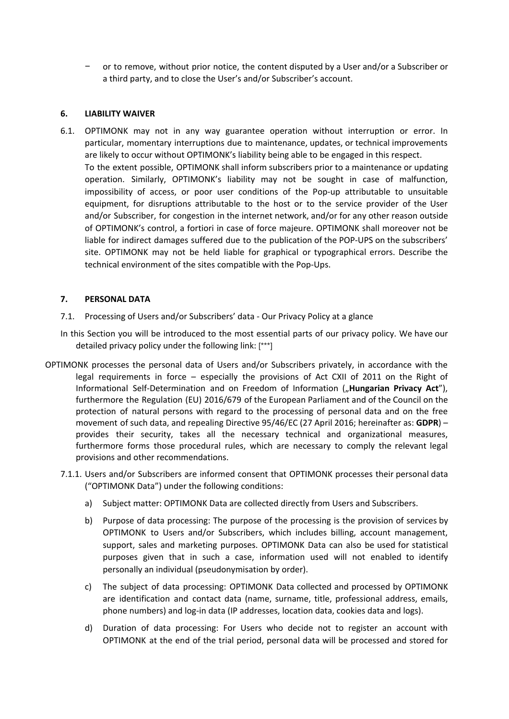− or to remove, without prior notice, the content disputed by a User and/or a Subscriber or a third party, and to close the User's and/or Subscriber's account.

## **6. LIABILITY WAIVER**

6.1. OPTIMONK may not in any way guarantee operation without interruption or error. In particular, momentary interruptions due to maintenance, updates, or technical improvements are likely to occur without OPTIMONK's liability being able to be engaged in this respect. To the extent possible, OPTIMONK shall inform subscribers prior to a maintenance or updating operation. Similarly, OPTIMONK's liability may not be sought in case of malfunction, impossibility of access, or poor user conditions of the Pop-up attributable to unsuitable equipment, for disruptions attributable to the host or to the service provider of the User and/or Subscriber, for congestion in the internet network, and/or for any other reason outside of OPTIMONK's control, a fortiori in case of force majeure. OPTIMONK shall moreover not be liable for indirect damages suffered due to the publication of the POP-UPS on the subscribers' site. OPTIMONK may not be held liable for graphical or typographical errors. Describe the technical environment of the sites compatible with the Pop-Ups.

## **7. PERSONAL DATA**

- 7.1. Processing of Users and/or Subscribers' data Our Privacy Policy at a glance
- In this Section you will be introduced to the most essential parts of our privacy policy. We have our detailed privacy policy under the following link: [\*\*\*]
- OPTIMONK processes the personal data of Users and/or Subscribers privately, in accordance with the legal requirements in force – especially the provisions of Act CXII of 2011 on the Right of Informational Self-Determination and on Freedom of Information ("Hungarian Privacy Act"), furthermore the Regulation (EU) 2016/679 of the European Parliament and of the Council on the protection of natural persons with regard to the processing of personal data and on the free movement of such data, and repealing Directive 95/46/EC (27 April 2016; hereinafter as: **GDPR**) – provides their security, takes all the necessary technical and organizational measures, furthermore forms those procedural rules, which are necessary to comply the relevant legal provisions and other recommendations.
	- 7.1.1. Users and/or Subscribers are informed consent that OPTIMONK processes their personal data ("OPTIMONK Data") under the following conditions:
		- a) Subject matter: OPTIMONK Data are collected directly from Users and Subscribers.
		- b) Purpose of data processing: The purpose of the processing is the provision of services by OPTIMONK to Users and/or Subscribers, which includes billing, account management, support, sales and marketing purposes. OPTIMONK Data can also be used for statistical purposes given that in such a case, information used will not enabled to identify personally an individual (pseudonymisation by order).
		- c) The subject of data processing: OPTIMONK Data collected and processed by OPTIMONK are identification and contact data (name, surname, title, professional address, emails, phone numbers) and log-in data (IP addresses, location data, cookies data and logs).
		- d) Duration of data processing: For Users who decide not to register an account with OPTIMONK at the end of the trial period, personal data will be processed and stored for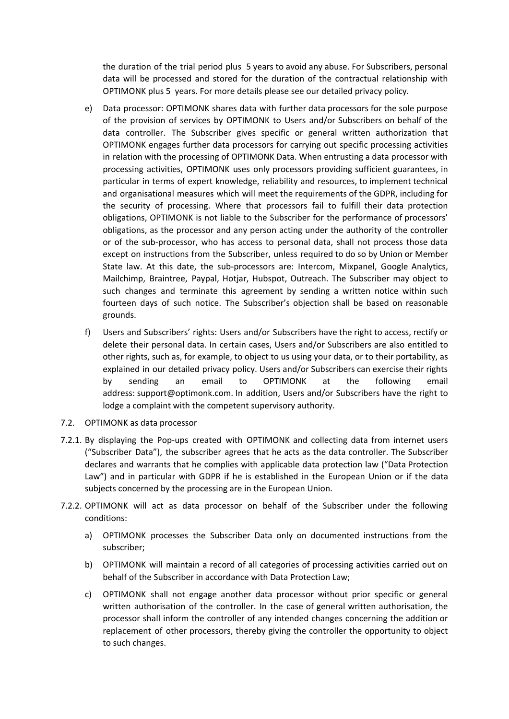the duration of the trial period plus 5 years to avoid any abuse. For Subscribers, personal data will be processed and stored for the duration of the contractual relationship with OPTIMONK plus 5 years. For more details please see our detailed privacy policy.

- e) Data processor: OPTIMONK shares data with further data processors for the sole purpose of the provision of services by OPTIMONK to Users and/or Subscribers on behalf of the data controller. The Subscriber gives specific or general written authorization that OPTIMONK engages further data processors for carrying out specific processing activities in relation with the processing of OPTIMONK Data. When entrusting a data processor with processing activities, OPTIMONK uses only processors providing sufficient guarantees, in particular in terms of expert knowledge, reliability and resources, to implement technical and organisational measures which will meet the requirements of the GDPR, including for the security of processing. Where that processors fail to fulfill their data protection obligations, OPTIMONK is not liable to the Subscriber for the performance of processors' obligations, as the processor and any person acting under the authority of the controller or of the sub-processor, who has access to personal data, shall not process those data except on instructions from the Subscriber, unless required to do so by Union or Member State law. At this date, the sub-processors are: Intercom, Mixpanel, Google Analytics, Mailchimp, Braintree, Paypal, Hotjar, Hubspot, Outreach. The Subscriber may object to such changes and terminate this agreement by sending a written notice within such fourteen days of such notice. The Subscriber's objection shall be based on reasonable grounds.
- f) Users and Subscribers' rights: Users and/or Subscribers have the right to access, rectify or delete their personal data. In certain cases, Users and/or Subscribers are also entitled to other rights, such as, for example, to object to us using your data, or to their portability, as explained in our detailed privacy policy. Users and/or Subscribers can exercise their rights by sending an email to OPTIMONK at the following email address: support@optimonk.com. In addition, Users and/or Subscribers have the right to lodge a complaint with the competent supervisory authority.
- 7.2. OPTIMONK as data processor
- 7.2.1. By displaying the Pop-ups created with OPTIMONK and collecting data from internet users ("Subscriber Data"), the subscriber agrees that he acts as the data controller. The Subscriber declares and warrants that he complies with applicable data protection law ("Data Protection Law") and in particular with GDPR if he is established in the European Union or if the data subjects concerned by the processing are in the European Union.
- 7.2.2. OPTIMONK will act as data processor on behalf of the Subscriber under the following conditions:
	- a) OPTIMONK processes the Subscriber Data only on documented instructions from the subscriber;
	- b) OPTIMONK will maintain a record of all categories of processing activities carried out on behalf of the Subscriber in accordance with Data Protection Law;
	- c) OPTIMONK shall not engage another data processor without prior specific or general written authorisation of the controller. In the case of general written authorisation, the processor shall inform the controller of any intended changes concerning the addition or replacement of other processors, thereby giving the controller the opportunity to object to such changes.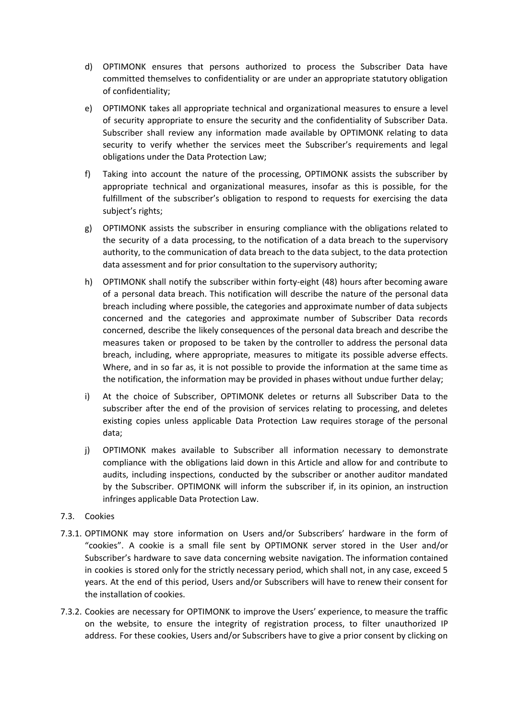- d) OPTIMONK ensures that persons authorized to process the Subscriber Data have committed themselves to confidentiality or are under an appropriate statutory obligation of confidentiality;
- e) OPTIMONK takes all appropriate technical and organizational measures to ensure a level of security appropriate to ensure the security and the confidentiality of Subscriber Data. Subscriber shall review any information made available by OPTIMONK relating to data security to verify whether the services meet the Subscriber's requirements and legal obligations under the Data Protection Law;
- f) Taking into account the nature of the processing, OPTIMONK assists the subscriber by appropriate technical and organizational measures, insofar as this is possible, for the fulfillment of the subscriber's obligation to respond to requests for exercising the data subject's rights;
- g) OPTIMONK assists the subscriber in ensuring compliance with the obligations related to the security of a data processing, to the notification of a data breach to the supervisory authority, to the communication of data breach to the data subject, to the data protection data assessment and for prior consultation to the supervisory authority;
- h) OPTIMONK shall notify the subscriber within forty-eight (48) hours after becoming aware of a personal data breach. This notification will describe the nature of the personal data breach including where possible, the categories and approximate number of data subjects concerned and the categories and approximate number of Subscriber Data records concerned, describe the likely consequences of the personal data breach and describe the measures taken or proposed to be taken by the controller to address the personal data breach, including, where appropriate, measures to mitigate its possible adverse effects. Where, and in so far as, it is not possible to provide the information at the same time as the notification, the information may be provided in phases without undue further delay;
- i) At the choice of Subscriber, OPTIMONK deletes or returns all Subscriber Data to the subscriber after the end of the provision of services relating to processing, and deletes existing copies unless applicable Data Protection Law requires storage of the personal data;
- j) OPTIMONK makes available to Subscriber all information necessary to demonstrate compliance with the obligations laid down in this Article and allow for and contribute to audits, including inspections, conducted by the subscriber or another auditor mandated by the Subscriber. OPTIMONK will inform the subscriber if, in its opinion, an instruction infringes applicable Data Protection Law.

# 7.3. Cookies

- 7.3.1. OPTIMONK may store information on Users and/or Subscribers' hardware in the form of "cookies". A cookie is a small file sent by OPTIMONK server stored in the User and/or Subscriber's hardware to save data concerning website navigation. The information contained in cookies is stored only for the strictly necessary period, which shall not, in any case, exceed 5 years. At the end of this period, Users and/or Subscribers will have to renew their consent for the installation of cookies.
- 7.3.2. Cookies are necessary for OPTIMONK to improve the Users' experience, to measure the traffic on the website, to ensure the integrity of registration process, to filter unauthorized IP address. For these cookies, Users and/or Subscribers have to give a prior consent by clicking on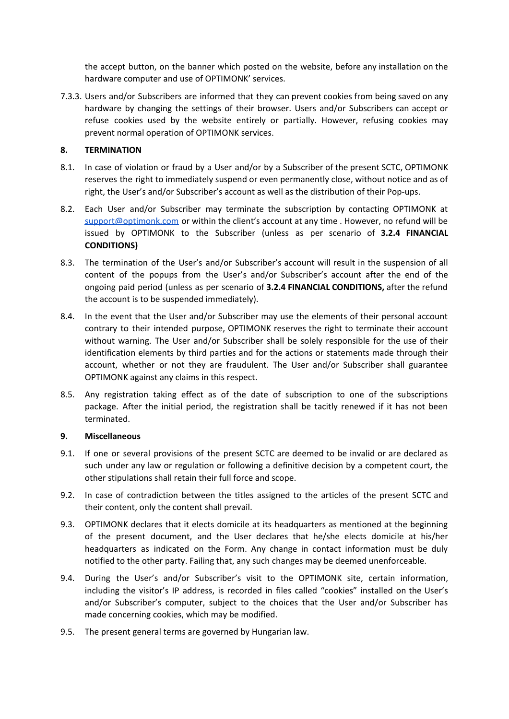the accept button, on the banner which posted on the website, before any installation on the hardware computer and use of OPTIMONK' services.

7.3.3. Users and/or Subscribers are informed that they can prevent cookies from being saved on any hardware by changing the settings of their browser. Users and/or Subscribers can accept or refuse cookies used by the website entirely or partially. However, refusing cookies may prevent normal operation of OPTIMONK services.

## **8. TERMINATION**

- 8.1. In case of violation or fraud by a User and/or by a Subscriber of the present SCTC, OPTIMONK reserves the right to immediately suspend or even permanently close, without notice and as of right, the User's and/or Subscriber's account as well as the distribution of their Pop-ups.
- 8.2. Each User and/or Subscriber may terminate the subscription by contacting OPTIMONK at [support@optimonk.com](mailto:support@optimonk.com) or within the client's account at any time . However, no refund will be issued by OPTIMONK to the Subscriber (unless as per scenario of **3.2.4 FINANCIAL CONDITIONS)**
- 8.3. The termination of the User's and/or Subscriber's account will result in the suspension of all content of the popups from the User's and/or Subscriber's account after the end of the ongoing paid period (unless as per scenario of **3.2.4 FINANCIAL CONDITIONS,** after the refund the account is to be suspended immediately).
- 8.4. In the event that the User and/or Subscriber may use the elements of their personal account contrary to their intended purpose, OPTIMONK reserves the right to terminate their account without warning. The User and/or Subscriber shall be solely responsible for the use of their identification elements by third parties and for the actions or statements made through their account, whether or not they are fraudulent. The User and/or Subscriber shall guarantee OPTIMONK against any claims in this respect.
- 8.5. Any registration taking effect as of the date of subscription to one of the subscriptions package. After the initial period, the registration shall be tacitly renewed if it has not been terminated.

# **9. Miscellaneous**

- 9.1. If one or several provisions of the present SCTC are deemed to be invalid or are declared as such under any law or regulation or following a definitive decision by a competent court, the other stipulations shall retain their full force and scope.
- 9.2. In case of contradiction between the titles assigned to the articles of the present SCTC and their content, only the content shall prevail.
- 9.3. OPTIMONK declares that it elects domicile at its headquarters as mentioned at the beginning of the present document, and the User declares that he/she elects domicile at his/her headquarters as indicated on the Form. Any change in contact information must be duly notified to the other party. Failing that, any such changes may be deemed unenforceable.
- 9.4. During the User's and/or Subscriber's visit to the OPTIMONK site, certain information, including the visitor's IP address, is recorded in files called "cookies" installed on the User's and/or Subscriber's computer, subject to the choices that the User and/or Subscriber has made concerning cookies, which may be modified.
- 9.5. The present general terms are governed by Hungarian law.